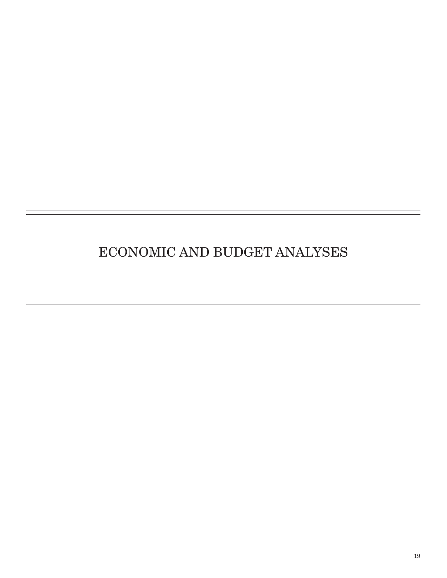# <span id="page-0-0"></span>[ECONOMIC AND BUDGET ANALYSES](#page-0-0)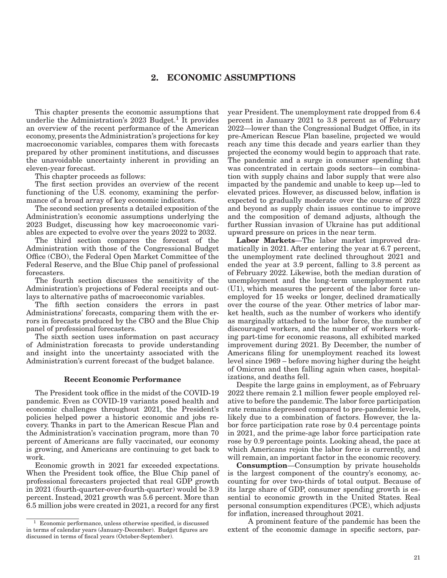# 2. ECONOMIC ASSUMPTIONS

This chapter presents the economic assumptions that underlie the Administration's  $2023$  Budget.<sup>1</sup> It provides an overview of the recent performance of the American economy, presents the Administration's projections for key macroeconomic variables, compares them with forecasts prepared by other prominent institutions, and discusses the unavoidable uncertainty inherent in providing an eleven-year forecast.

This chapter proceeds as follows:

The first section provides an overview of the recent functioning of the U.S. economy, examining the performance of a broad array of key economic indicators.

The second section presents a detailed exposition of the Administration's economic assumptions underlying the 2023 Budget, discussing how key macroeconomic variables are expected to evolve over the years 2022 to 2032.

The third section compares the forecast of the Administration with those of the Congressional Budget Office (CBO), the Federal Open Market Committee of the Federal Reserve, and the Blue Chip panel of professional forecasters.

The fourth section discusses the sensitivity of the Administration's projections of Federal receipts and outlays to alternative paths of macroeconomic variables.

The fifth section considers the errors in past Administrations' forecasts, comparing them with the errors in forecasts produced by the CBO and the Blue Chip panel of professional forecasters.

The sixth section uses information on past accuracy of Administration forecasts to provide understanding and insight into the uncertainty associated with the Administration's current forecast of the budget balance.

#### Recent Economic Performance

The President took office in the midst of the COVID-19 pandemic. Even as COVID-19 variants posed health and economic challenges throughout 2021, the President's policies helped power a historic economic and jobs recovery. Thanks in part to the American Rescue Plan and the Administration's vaccination program, more than 70 percent of Americans are fully vaccinated, our economy is growing, and Americans are continuing to get back to work.

Economic growth in 2021 far exceeded expectations. When the President took office, the Blue Chip panel of professional forecasters projected that real GDP growth in 2021 (fourth-quarter-over-fourth-quarter) would be 3.9 percent. Instead, 2021 growth was 5.6 percent. More than 6.5 million jobs were created in 2021, a record for any first

year President. The unemployment rate dropped from 6.4 percent in January 2021 to 3.8 percent as of February 2022—lower than the Congressional Budget Office, in its pre-American Rescue Plan baseline, projected we would reach any time this decade and years earlier than they projected the economy would begin to approach that rate. The pandemic and a surge in consumer spending that was concentrated in certain goods sectors—in combination with supply chains and labor supply that were also impacted by the pandemic and unable to keep up—led to elevated prices. However, as discussed below, inflation is expected to gradually moderate over the course of 2022 and beyond as supply chain issues continue to improve and the composition of demand adjusts, although the further Russian invasion of Ukraine has put additional upward pressure on prices in the near term.

Labor Markets—The labor market improved dramatically in 2021. After entering the year at 6.7 percent, the unemployment rate declined throughout 2021 and ended the year at 3.9 percent, falling to 3.8 percent as of February 2022. Likewise, both the median duration of unemployment and the long-term unemployment rate (U1), which measures the percent of the labor force unemployed for 15 weeks or longer, declined dramatically over the course of the year. Other metrics of labor market health, such as the number of workers who identify as marginally attached to the labor force, the number of discouraged workers, and the number of workers working part-time for economic reasons, all exhibited marked improvement during 2021. By December, the number of Americans filing for unemployment reached its lowest level since 1969 – before moving higher during the height of Omicron and then falling again when cases, hospitalizations, and deaths fell.

Despite the large gains in employment, as of February 2022 there remain 2.1 million fewer people employed relative to before the pandemic. The labor force participation rate remains depressed compared to pre-pandemic levels, likely due to a combination of factors. However, the labor force participation rate rose by 0.4 percentage points in 2021, and the prime-age labor force participation rate rose by 0.9 percentage points. Looking ahead, the pace at which Americans rejoin the labor force is currently, and will remain, an important factor in the economic recovery.

Consumption—Consumption by private households is the largest component of the country's economy, accounting for over two-thirds of total output. Because of its large share of GDP, consumer spending growth is essential to economic growth in the United States. Real personal consumption expenditures (PCE), which adjusts for inflation, increased throughout 2021.

 A prominent feature of the pandemic has been the extent of the economic damage in specific sectors, par-

<sup>1</sup> Economic performance, unless otherwise specified, is discussed in terms of calendar years (January-December). Budget figures are discussed in terms of fiscal years (October-September).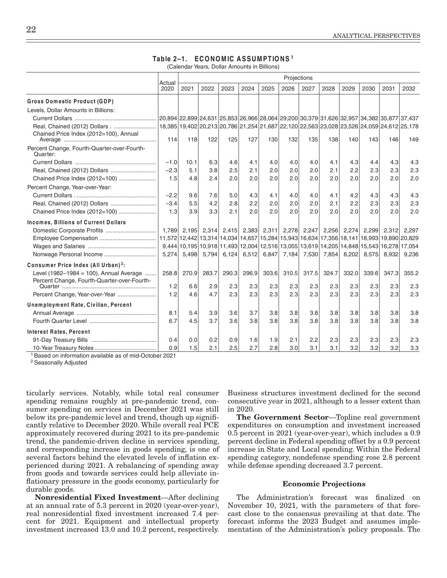## Table 2-1. ECONOMIC ASSUMPTIONS<sup>1</sup>

|  | (Calendar Years, Dollar Amounts in Billions) |  |
|--|----------------------------------------------|--|
|--|----------------------------------------------|--|

|                                                         | Projections    |       |       |       |       |                               |       |       |               |       |             |       |                                                                                            |
|---------------------------------------------------------|----------------|-------|-------|-------|-------|-------------------------------|-------|-------|---------------|-------|-------------|-------|--------------------------------------------------------------------------------------------|
|                                                         | Actual<br>2020 | 2021  | 2022  | 2023  | 2024  | 2025                          | 2026  | 2027  | 2028          | 2029  | 2030        | 2031  | 2032                                                                                       |
| Gross Domestic Product (GDP)                            |                |       |       |       |       |                               |       |       |               |       |             |       |                                                                                            |
| Levels, Dollar Amounts in Billions:                     |                |       |       |       |       |                               |       |       |               |       |             |       |                                                                                            |
|                                                         |                |       |       |       |       |                               |       |       |               |       |             |       | 20,894 22,899 24,631 25,853 26,966 28,064 29,200 30,379 31,626 32,957 34,382 35,877 37,437 |
| Real, Chained (2012) Dollars                            |                |       |       |       |       |                               |       |       |               |       |             |       | 18,385 19,402 20,213 20,786 21,254 21,687 22,120 22,563 23,028 23,526 24,059 24,612 25,178 |
| Chained Price Index (2012=100), Annual                  | 114            | 118   | 122   | 125   | 127   | 130                           | 132   | 135   | 138           | 140   | 143         | 146   | 149                                                                                        |
| Percent Change, Fourth-Quarter-over-Fourth-<br>Quarter: |                |       |       |       |       |                               |       |       |               |       |             |       |                                                                                            |
|                                                         | $-1.0$         | 10.1  | 6.3   | 4.6   | 4.1   | 4.0                           | 4.0   | 4.0   | 4.1           | 4.3   | 4.4         | 4.3   | 4.3                                                                                        |
| Real, Chained (2012) Dollars                            | $-2.3$         | 5.1   | 3.8   | 2.5   | 2.1   | 2.0                           | 2.0   | 2.0   | 2.1           | 2.2   | 2.3         | 2.3   | 2.3                                                                                        |
| Chained Price Index (2012=100)                          | 1.5            | 4.8   | 2.4   | 2.0   | 2.0   | 2.0                           | 2.0   | 2.0   | 2.0           | 2.0   | 2.0         | 2.0   | 2.0                                                                                        |
| Percent Change, Year-over-Year:                         |                |       |       |       |       |                               |       |       |               |       |             |       |                                                                                            |
|                                                         | $-2.2$         | 9.6   | 7.6   | 5.0   | 4.3   | 4.1                           | 4.0   | 4.0   | 4.1           | 4.2   | 4.3         | 4.3   | 4.3                                                                                        |
| Real, Chained (2012) Dollars                            | $-3.4$         | 5.5   | 4.2   | 2.8   | 2.2   | 2.0                           | 2.0   | 2.0   | 2.1           | 2.2   | 2.3         | 2.3   | 2.3                                                                                        |
| Chained Price Index (2012=100)                          | 1.3            | 3.9   | 3.3   | 2.1   | 2.0   | 2.0                           | 2.0   | 2.0   | 2.0           | 2.0   | 2.0         | 2.0   | 2.0                                                                                        |
| <b>Incomes, Billions of Current Dollars</b>             |                |       |       |       |       |                               |       |       |               |       |             |       |                                                                                            |
| Domestic Corporate Profits                              | 1.789          |       |       |       |       | 2,195 2,314 2,415 2,383 2,311 | 2,278 |       | $2,247$ 2,256 |       | 2,274 2,299 | 2.312 | 2.297                                                                                      |
|                                                         |                |       |       |       |       |                               |       |       |               |       |             |       | 11,572 12,442 13,314 14,034 14,657 15,284 15,943 16,634 17,356 18,141 18,993 19,890 20,829 |
|                                                         |                |       |       |       |       |                               |       |       |               |       |             |       | 9,444 10,195 10,918 11,493 12,004 12,516 13,055 13,619 14,205 14,848 15,543 16,278 17,054  |
|                                                         | 5,274          |       |       |       |       | 5,498 5,794 6,124 6,512 6,847 | 7,184 |       | 7,530 7,854   |       | 8,202 8,575 |       | 8,932 9,236                                                                                |
| Consumer Price Index (All Urban) <sup>2</sup> :         |                |       |       |       |       |                               |       |       |               |       |             |       |                                                                                            |
| Level (1982-1984 = 100), Annual Average                 | 258.8          | 270.9 | 283.7 | 290.3 | 296.9 | 303.6                         | 310.5 | 317.5 | 324.7         | 332.0 | 339.6       | 347.3 | 355.2                                                                                      |
| Percent Change, Fourth-Quarter-over-Fourth-             |                |       |       |       |       |                               |       |       |               |       |             |       |                                                                                            |
|                                                         | 1.2            | 6.6   | 2.9   | 2.3   | 2.3   | 2.3                           | 2.3   | 2.3   | 2.3           | 2.3   | 2.3         | 2.3   | 2.3                                                                                        |
| Percent Change, Year-over-Year                          | 1.2            | 4.6   | 4.7   | 2.3   | 2.3   | 2.3                           | 2.3   | 2.3   | 2.3           | 2.3   | 2.3         | 2.3   | 2.3                                                                                        |
| Unemployment Rate, Civilian, Percent                    |                |       |       |       |       |                               |       |       |               |       |             |       |                                                                                            |
|                                                         | 8.1            | 5.4   | 3.9   | 3.6   | 3.7   | 3.8                           | 3.8   | 3.8   | 3.8           | 3.8   | 3.8         | 3.8   | 3.8                                                                                        |
|                                                         | 6.7            | 4.5   | 3.7   | 3.6   | 3.8   | 3.8                           | 3.8   | 3.8   | 3.8           | 3.8   | 3.8         | 3.8   | 3.8                                                                                        |
| <b>Interest Rates, Percent</b>                          |                |       |       |       |       |                               |       |       |               |       |             |       |                                                                                            |
|                                                         | 0.4            | 0.0   | 0.2   | 0.9   | 1.6   | 1.9                           | 2.1   | 2.2   | 2.3           | 2.3   | 2.3         | 2.3   | 2.3                                                                                        |
|                                                         | 0.9            | 1.5   | 2.1   | 2.5   | 2.7   | 2.8                           | 3.0   | 3.1   | 3.1           | 3.2   | 3.2         | 3.2   | 3.3                                                                                        |

<sup>1</sup> Based on information available as of mid-October 2021

<sup>2</sup> Seasonally Adjusted

ticularly services. Notably, while total real consumer spending remains roughly at pre-pandemic trend, consumer spending on services in December 2021 was still below its pre-pandemic level and trend, though up significantly relative to December 2020. While overall real PCE approximately recovered during 2021 to its pre-pandemic trend, the pandemic-driven decline in services spending, and corresponding increase in goods spending, is one of several factors behind the elevated levels of inflation experienced during 2021. A rebalancing of spending away from goods and towards services could help alleviate inflationary pressure in the goods economy, particularly for durable goods.

Nonresidential Fixed Investment-After declining at an annual rate of 5.3 percent in 2020 (year-over-year), real nonresidential fixed investment increased 7.4 percent for 2021. Equipment and intellectual property investment increased 13.0 and 10.2 percent, respectively.

Business structures investment declined for the second consecutive year in 2021, although to a lesser extent than in 2020.

The Government Sector-Topline real government expenditures on consumption and investment increased 0.5 percent in 2021 (year-over-year), which includes a 0.9 percent decline in Federal spending offset by a 0.9 percent increase in State and Local spending. Within the Federal spending category, nondefense spending rose 2.8 percent while defense spending decreased 3.7 percent.

### **Economic Projections**

The Administration's forecast was finalized on November 10, 2021, with the parameters of that forecast close to the consensus prevailing at that date. The forecast informs the 2023 Budget and assumes implementation of the Administration's policy proposals. The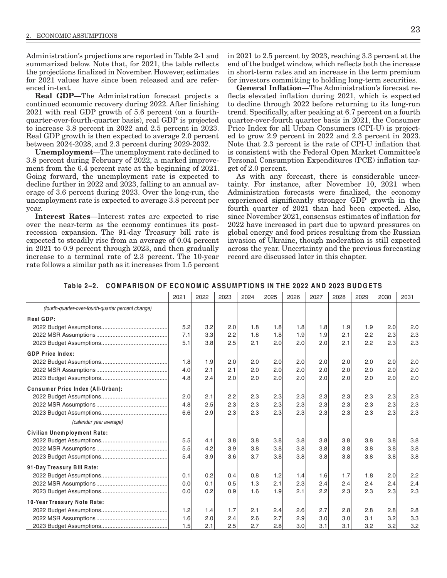Administration's projections are reported in Table 2-1 and summarized below. Note that, for 2021, the table reflects the projections finalized in November. However, estimates for 2021 values have since been released and are referenced in-text.

**Real GDP**—The Administration forecast projects a continued economic recovery during 2022. After finishing 2021 with real GDP growth of 5.6 percent (on a fourthquarter-over-fourth-quarter basis), real GDP is projected to increase 3.8 percent in 2022 and 2.5 percent in 2023. Real GDP growth is then expected to average 2.0 percent between 2024-2028, and 2.3 percent during 2029-2032.

**Unemployment—The unemployment rate declined to** 3.8 percent during February of 2022, a marked improvement from the 6.4 percent rate at the beginning of 2021. Going forward, the unemployment rate is expected to decline further in 2022 and 2023, falling to an annual average of 3.6 percent during 2023. Over the long-run, the unemployment rate is expected to average 3.8 percent per vear.

Interest Rates—Interest rates are expected to rise over the near-term as the economy continues its postrecession expansion. The 91-day Treasury bill rate is expected to steadily rise from an average of 0.04 percent in 2021 to 0.9 percent through 2023, and then gradually increase to a terminal rate of 2.3 percent. The 10-year rate follows a similar path as it increases from 1.5 percent in 2021 to 2.5 percent by 2023, reaching 3.3 percent at the end of the budget window, which reflects both the increase in short-term rates and an increase in the term premium for investors committing to holding long-term securities.

General Inflation-The Administration's forecast reflects elevated inflation during 2021, which is expected to decline through 2022 before returning to its long-run trend. Specifically, after peaking at 6.7 percent on a fourth quarter-over-fourth quarter basis in 2021, the Consumer Price Index for all Urban Consumers (CPI-U) is projected to grow 2.9 percent in 2022 and 2.3 percent in 2023. Note that 2.3 percent is the rate of CPI-U inflation that is consistent with the Federal Open Market Committee's Personal Consumption Expenditures (PCE) inflation target of 2.0 percent.

As with any forecast, there is considerable uncertainty. For instance, after November 10, 2021 when Administration forecasts were finalized, the economy experienced significantly stronger GDP growth in the fourth quarter of 2021 than had been expected. Also, since November 2021, consensus estimates of inflation for 2022 have increased in part due to upward pressures on global energy and food prices resulting from the Russian invasion of Ukraine, though moderation is still expected across the year. Uncertainty and the previous forecasting record are discussed later in this chapter.

| Fable 2-2. COMPARISON OF ECONOMIC ASSUMPTIONS IN THE 2022 AND 2023 BUDGETS |  |  |
|----------------------------------------------------------------------------|--|--|
|----------------------------------------------------------------------------|--|--|

|                                                     | 2021 | 2022 | 2023 | 2024 | 2025 | 2026 | 2027 | 2028 | 2029 | 2030 | 2031 |
|-----------------------------------------------------|------|------|------|------|------|------|------|------|------|------|------|
| (fourth-quarter-over-fourth-quarter percent change) |      |      |      |      |      |      |      |      |      |      |      |
| Real GDP:                                           |      |      |      |      |      |      |      |      |      |      |      |
|                                                     | 5.2  | 3.2  | 2.0  | 1.8  | 1.8  | 1.8  | 1.8  | 1.9  | 1.9  | 2.0  | 2.0  |
|                                                     | 7.1  | 3.3  | 2.2  | 1.8  | 1.8  | 1.9  | 1.9  | 2.1  | 2.2  | 2.3  | 2.3  |
|                                                     | 5.1  | 3.8  | 2.5  | 2.1  | 2.0  | 2.0  | 2.0  | 2.1  | 2.2  | 2.3  | 2.3  |
| <b>GDP Price Index:</b>                             |      |      |      |      |      |      |      |      |      |      |      |
|                                                     | 1.8  | 1.9  | 2.0  | 2.0  | 2.0  | 2.0  | 2.0  | 2.0  | 2.0  | 2.0  | 2.0  |
|                                                     | 4.0  | 2.1  | 2.1  | 2.0  | 2.0  | 2.0  | 2.0  | 2.0  | 2.0  | 2.0  | 2.0  |
|                                                     | 4.8  | 2.4  | 2.0  | 2.0  | 2.0  | 2.0  | 2.0  | 2.0  | 2.0  | 2.0  | 2.0  |
| Consumer Price Index (All-Urban):                   |      |      |      |      |      |      |      |      |      |      |      |
|                                                     | 2.0  | 2.1  | 2.2  | 2.3  | 2.3  | 2.3  | 2.3  | 2.3  | 2.3  | 2.3  | 2.3  |
|                                                     | 4.8  | 2.5  | 2.3  | 2.3  | 2.3  | 2.3  | 2.3  | 2.3  | 2.3  | 2.3  | 2.3  |
|                                                     | 6.6  | 2.9  | 2.3  | 2.3  | 2.3  | 2.3  | 2.3  | 2.3  | 2.3  | 2.3  | 2.3  |
| (calendar year average)                             |      |      |      |      |      |      |      |      |      |      |      |
| Civilian Unemployment Rate:                         |      |      |      |      |      |      |      |      |      |      |      |
|                                                     | 5.5  | 4.1  | 3.8  | 3.8  | 3.8  | 3.8  | 3.8  | 3.8  | 3.8  | 3.8  | 3.8  |
|                                                     | 5.5  | 4.2  | 3.9  | 3.8  | 3.8  | 3.8  | 3.8  | 3.8  | 3.8  | 3.8  | 3.8  |
|                                                     | 5.4  | 3.9  | 3.6  | 3.7  | 3.8  | 3.8  | 3.8  | 3.8  | 3.8  | 3.8  | 3.8  |
| 91-Day Treasury Bill Rate:                          |      |      |      |      |      |      |      |      |      |      |      |
|                                                     | 0.1  | 0.2  | 0.4  | 0.8  | 1.2  | 1.4  | 1.6  | 1.7  | 1.8  | 2.0  | 2.2  |
|                                                     | 0.0  | 0.1  | 0.5  | 1.3  | 2.1  | 2.3  | 2.4  | 2.4  | 2.4  | 2.4  | 2.4  |
|                                                     | 0.0  | 0.2  | 0.9  | 1.6  | 1.9  | 2.1  | 2.2  | 2.3  | 2.3  | 2.3  | 2.3  |
| 10-Year Treasury Note Rate:                         |      |      |      |      |      |      |      |      |      |      |      |
|                                                     | 1.2  | 1.4  | 1.7  | 2.1  | 2.4  | 2.6  | 2.7  | 2.8  | 2.8  | 2.8  | 2.8  |
|                                                     | 1.6  | 2.0  | 2.4  | 2.6  | 2.7  | 2.9  | 3.0  | 3.0  | 3.1  | 3.2  | 3.3  |
|                                                     | 1.5  | 2.1  | 2.5  | 2.7  | 2.8  | 3.0  | 3.1  | 3.1  | 3.2  | 3.2  | 3.2  |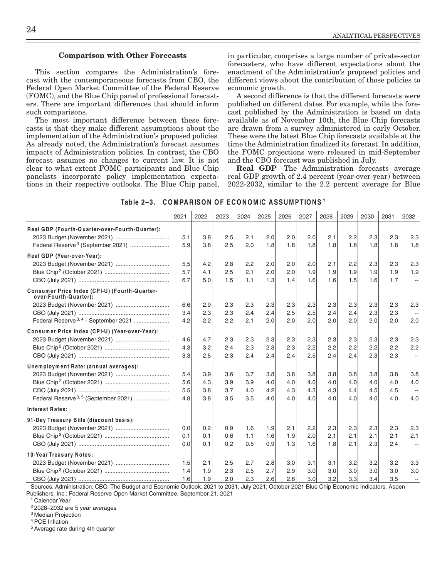## **Comparison with Other Forecasts**

This section compares the Administration's forecast with the contemporaneous forecasts from CBO, the Federal Open Market Committee of the Federal Reserve (FOMC), and the Blue Chip panel of professional forecasters. There are important differences that should inform such comparisons.

The most important difference between these forecasts is that they make different assumptions about the implementation of the Administration's proposed policies. As already noted, the Administration's forecast assumes impacts of Administration policies. In contrast, the CBO forecast assumes no changes to current law. It is not clear to what extent FOMC participants and Blue Chip panelists incorporate policy implementation expectations in their respective outlooks. The Blue Chip panel, in particular, comprises a large number of private-sector forecasters, who have different expectations about the enactment of the Administration's proposed policies and different views about the contribution of those policies to economic growth.

A second difference is that the different forecasts were published on different dates. For example, while the forecast published by the Administration is based on data available as of November 10th, the Blue Chip forecasts are drawn from a survey administered in early October. These were the latest Blue Chip forecasts available at the time the Administration finalized its forecast. In addition, the FOMC projections were released in mid-September and the CBO forecast was published in July.

Real GDP-The Administration forecasts average real GDP growth of 2.4 percent (year-over-year) between 2022-2032, similar to the 2.2 percent average for Blue

| Table 2-3. COMPARISON OF ECONOMIC ASSUMPTIONS |  |
|-----------------------------------------------|--|
|                                               |  |

|                                                                        | 2021 | 2022 | 2023 | 2024 | 2025 | 2026 | 2027 | 2028 | 2029 | 2030 | 2031 | 2032                     |
|------------------------------------------------------------------------|------|------|------|------|------|------|------|------|------|------|------|--------------------------|
| Real GDP (Fourth-Quarter-over-Fourth-Quarter):                         |      |      |      |      |      |      |      |      |      |      |      |                          |
|                                                                        | 5.1  | 3.8  | 2.5  | 2.1  | 2.0  | 2.0  | 2.0  | 2.1  | 2.2  | 2.3  | 2.3  | 2.3                      |
| Federal Reserve <sup>3</sup> (September 2021)                          | 5.9  | 3.8  | 2.5  | 2.0  | 1.8  | 1.8  | 1.8  | 1.8  | 1.8  | 1.8  | 1.8  | 1.8                      |
| Real GDP (Year-over-Year):                                             |      |      |      |      |      |      |      |      |      |      |      |                          |
| 2023 Budget (November 2021)                                            | 5.5  | 4.2  | 2.8  | 2.2  | 2.0  | 2.0  | 2.0  | 2.1  | 2.2  | 2.3  | 2.3  | 2.3                      |
|                                                                        | 5.7  | 4.1  | 2.5  | 2.1  | 2.0  | 2.0  | 1.9  | 1.9  | 1.9  | 1.9  | 1.9  | 1.9                      |
|                                                                        | 6.7  | 5.0  | 1.5  | 1.1  | 1.3  | 1.4  | 1.6  | 1.6  | 1.5  | 1.6  | 1.7  | $\mathbb{Z}^2$           |
| Consumer Price Index (CPI-U) (Fourth-Quarter-<br>over-Fourth-Quarter): |      |      |      |      |      |      |      |      |      |      |      |                          |
| 2023 Budget (November 2021)                                            | 6.6  | 2.9  | 2.3  | 2.3  | 2.3  | 2.3  | 2.3  | 2.3  | 2.3  | 2.3  | 2.3  | 2.3                      |
|                                                                        | 3.4  | 2.3  | 2.3  | 2.4  | 2.4  | 2.5  | 2.5  | 2.4  | 2.4  | 2.3  | 2.3  |                          |
| Federal Reserve <sup>3, 4</sup> - September 2021                       | 4.2  | 2.2  | 2.2  | 2.1  | 2.0  | 2.0  | 2.0  | 2.0  | 2.0  | 2.0  | 2.0  | 2.0                      |
| Consumer Price Index (CPI-U) (Year-over-Year):                         |      |      |      |      |      |      |      |      |      |      |      |                          |
| 2023 Budget (November 2021)                                            | 4.6  | 4.7  | 2.3  | 2.3  | 2.3  | 2.3  | 2.3  | 2.3  | 2.3  | 2.3  | 2.3  | 2.3                      |
|                                                                        | 4.3  | 3.2  | 2.4  | 2.3  | 2.3  | 2.3  | 2.2  | 2.2  | 2.2  | 2.2  | 2.2  | 2.2                      |
|                                                                        | 3.3  | 2.5  | 2.3  | 2.4  | 2.4  | 2.4  | 2.5  | 2.4  | 2.4  | 2.3  | 2.3  |                          |
| Unemployment Rate: (annual averages):                                  |      |      |      |      |      |      |      |      |      |      |      |                          |
|                                                                        | 5.4  | 3.9  | 3.6  | 3.7  | 3.8  | 3.8  | 3.8  | 3.8  | 3.8  | 3.8  | 3.8  | 3.8                      |
|                                                                        | 5.6  | 4.3  | 3.9  | 3.9  | 4.0  | 4.0  | 4.0  | 4.0  | 4.0  | 4.0  | 4.0  | 4.0                      |
|                                                                        | 5.5  | 3.8  | 3.7  | 4.0  | 4.2  | 4.3  | 4.3  | 4.3  | 4.4  | 4.5  | 4.5  | $\overline{a}$           |
| Federal Reserve <sup>3, 5</sup> (September 2021)                       | 4.8  | 3.8  | 3.5  | 3.5  | 4.0  | 4.0  | 4.0  | 4.0  | 4.0  | 4.0  | 4.0  | 4.0                      |
| <b>Interest Rates:</b>                                                 |      |      |      |      |      |      |      |      |      |      |      |                          |
| 91-Day Treasury Bills (discount basis):                                |      |      |      |      |      |      |      |      |      |      |      |                          |
| 2023 Budget (November 2021)                                            | 0.0  | 0.2  | 0.9  | 1.6  | 1.9  | 2.1  | 2.2  | 2.3  | 2.3  | 2.3  | 2.3  | 2.3                      |
|                                                                        | 0.1  | 0.1  | 0.6  | 1.1  | 1.6  | 1.9  | 2.0  | 2.1  | 2.1  | 2.1  | 2.1  | 2.1                      |
|                                                                        | 0.0  | 0.1  | 0.2  | 0.5  | 0.9  | 1.3  | 1.6  | 1.8  | 2.1  | 2.3  | 2.4  | $\overline{a}$           |
| 10-Year Treasury Notes:                                                |      |      |      |      |      |      |      |      |      |      |      |                          |
|                                                                        | 1.5  | 2.1  | 2.5  | 2.7  | 2.8  | 3.0  | 3.1  | 3.1  | 3.2  | 3.2  | 3.2  | 3.3                      |
|                                                                        | 1.4  | 1.9  | 2.3  | 2.5  | 2.7  | 2.9  | 3.0  | 3.0  | 3.0  | 3.0  | 3.0  | 3.0                      |
|                                                                        | 1.6  | 1.9  | 2.0  | 2.3  | 2.6  | 2.8  | 3.0  | 3.2  | 3.3  | 3.4  | 3.5  | $\overline{\phantom{m}}$ |

Sources: Administration; CBO, The Budget and Economic Outlook: 2021 to 2031, July 2021; October 2021 Blue Chip Economic Indicators, Aspen Publishers, Inc.; Federal Reserve Open Market Committee, September 21, 2021

<sup>1</sup> Calendar Year

 $2$  2028-2032 are 5 year averages

<sup>3</sup> Median Projection

<sup>4</sup> PCE Inflation

<sup>5</sup> Average rate during 4th quarter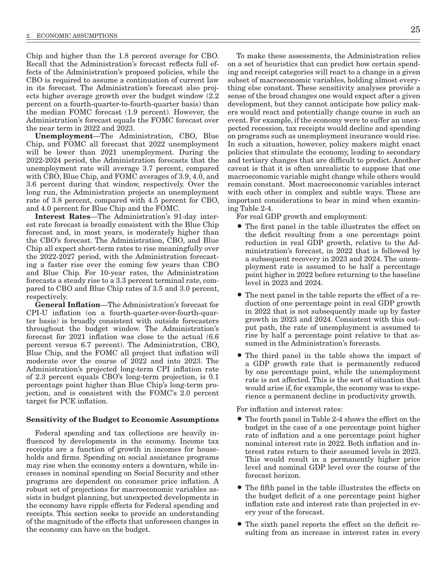Chip and higher than the 1.8 percent average for CBO. Recall that the Administration's forecast reflects full effects of the Administration's proposed policies, while the CBO is required to assume a continuation of current law in its forecast. The Administration's forecast also projects higher average growth over the budget window (2.2 percent on a fourth-quarter-to-fourth-quarter basis) than the median FOMC forecast (1.9 percent). However, the Administration's forecast equals the FOMC forecast over the near term in 2022 and 2023.

Unemployment—The Administration, CBO, Blue Chip, and FOMC all forecast that 2022 unemployment will be lower than 2021 unemployment. During the 2022-2024 period, the Administration forecasts that the unemployment rate will average 3.7 percent, compared with CBO, Blue Chip, and FOMC averages of 3.9, 4.0, and 3.6 percent during that window, respectively. Over the long run, the Administration projects an unemployment rate of 3.8 percent, compared with 4.5 percent for CBO, and 4.0 percent for Blue Chip and the FOMC.

Interest Rates—The Administration's 91-day interest rate forecast is broadly consistent with the Blue Chip forecast and, in most years, is moderately higher than the CBO's forecast. The Administration, CBO, and Blue Chip all expect short-term rates to rise meaningfully over the 2022-2027 period, with the Administration forecasting a faster rise over the coming few years than CBO and Blue Chip. For 10-year rates, the Administration forecasts a steady rise to a 3.3 percent terminal rate, compared to CBO and Blue Chip rates of 3.5 and 3.0 percent, respectively.

General Inflation—The Administration's forecast for CPI-U inflation (on a fourth-quarter-over-fourth-quarter basis) is broadly consistent with outside forecasters throughout the budget window. The Administration's forecast for 2021 inflation was close to the actual (6.6 percent versus 6.7 percent). The Administration, CBO, Blue Chip, and the FOMC all project that inflation will moderate over the course of 2022 and into 2023. The Administration's projected long-term CPI inflation rate of 2.3 percent equals CBO's long-term projection, is 0.1 percentage point higher than Blue Chip's long-term projection, and is consistent with the FOMC's 2.0 percent target for PCE inflation.

#### Sensitivity of the Budget to Economic Assumptions

Federal spending and tax collections are heavily influenced by developments in the economy. Income tax receipts are a function of growth in incomes for households and firms. Spending on social assistance programs may rise when the economy enters a downturn, while increases in nominal spending on Social Security and other programs are dependent on consumer price inflation. A robust set of projections for macroeconomic variables assists in budget planning, but unexpected developments in the economy have ripple effects for Federal spending and receipts. This section seeks to provide an understanding of the magnitude of the effects that unforeseen changes in the economy can have on the budget.

To make these assessments, the Administration relies on a set of heuristics that can predict how certain spending and receipt categories will react to a change in a given subset of macroeconomic variables, holding almost everything else constant. These sensitivity analyses provide a sense of the broad changes one would expect after a given development, but they cannot anticipate how policy makers would react and potentially change course in such an event. For example, if the economy were to suffer an unexpected recession, tax receipts would decline and spending on programs such as unemployment insurance would rise. In such a situation, however, policy makers might enact policies that stimulate the economy, leading to secondary and tertiary changes that are difficult to predict. Another caveat is that it is often unrealistic to suppose that one macroeconomic variable might change while others would remain constant. Most macroeconomic variables interact with each other in complex and subtle ways. These are important considerations to bear in mind when examining Table 2-4.

For real GDP growth and employment:

- The first panel in the table illustrates the effect on the deficit resulting from a one percentage point reduction in real GDP growth, relative to the Administration's forecast, in 2022 that is followed by a subsequent recovery in 2023 and 2024. The unemployment rate is assumed to be half a percentage point higher in 2022 before returning to the baseline level in 2023 and 2024.
- The next panel in the table reports the effect of a reduction of one percentage point in real GDP growth in 2022 that is not subsequently made up by faster growth in 2023 and 2024. Consistent with this output path, the rate of unemployment is assumed to rise by half a percentage point relative to that assumed in the Administration's forecasts.
- The third panel in the table shows the impact of a GDP growth rate that is permanently reduced by one percentage point, while the unemployment rate is not affected. This is the sort of situation that would arise if, for example, the economy was to experience a permanent decline in productivity growth.

For inflation and interest rates:

- The fourth panel in Table 2-4 shows the effect on the budget in the case of a one percentage point higher rate of inflation and a one percentage point higher nominal interest rate in 2022. Both inflation and interest rates return to their assumed levels in 2023. This would result in a permanently higher price level and nominal GDP level over the course of the forecast horizon.
- The fifth panel in the table illustrates the effects on the budget deficit of a one percentage point higher inflation rate and interest rate than projected in every year of the forecast.
- The sixth panel reports the effect on the deficit resulting from an increase in interest rates in every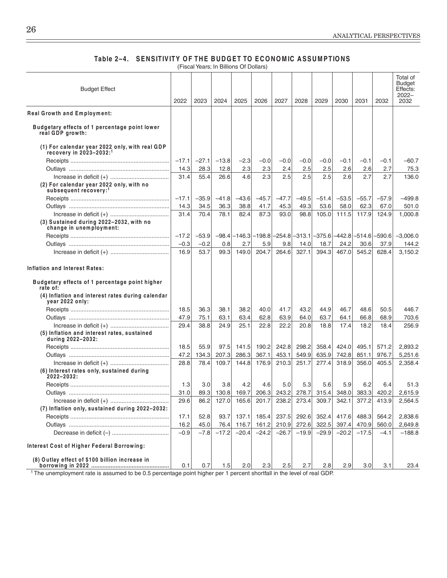# Table 2-4. SENSITIVITY OF THE BUDGET TO ECONOMIC ASSUMPTIONS

(Fiscal Years; In Billions Of Dollars)

| <b>Budget Effect</b>                                                                        |         |         |         |                                     |         |         |         |         |         |                                                         |         | Total of<br>Budget<br>Effects:<br>$2022 -$ |
|---------------------------------------------------------------------------------------------|---------|---------|---------|-------------------------------------|---------|---------|---------|---------|---------|---------------------------------------------------------|---------|--------------------------------------------|
|                                                                                             | 2022    | 2023    | 2024    | 2025                                | 2026    | 2027    | 2028    | 2029    | 2030    | 2031                                                    | 2032    | 2032                                       |
| Real Growth and Employment:                                                                 |         |         |         |                                     |         |         |         |         |         |                                                         |         |                                            |
| Budgetary effects of 1 percentage point lower<br>real GDP growth:                           |         |         |         |                                     |         |         |         |         |         |                                                         |         |                                            |
| (1) For calendar year 2022 only, with real GDP<br>recovery in 2023-2032: <sup>1</sup>       |         |         |         |                                     |         |         |         |         |         |                                                         |         |                                            |
|                                                                                             | $-17.1$ | $-27.1$ | $-13.8$ | $-2.3$                              | -0.0    | $-0.0$  | $-0.0$  | $-0.0$  | $-0.1$  | $-0.1$                                                  | $-0.1$  | $-60.7$                                    |
|                                                                                             | 14.3    | 28.3    | 12.8    | 2.3                                 | 2.3     | 2.4     | 2.5     | 2.5     | 2.6     | 2.6                                                     | 2.7     | 75.3                                       |
|                                                                                             | 31.4    | 55.4    | 26.6    | 4.6                                 | 2.3     | 2.5     | 2.5     | 2.5     | 2.6     | 2.7                                                     | 2.7     | 136.0                                      |
| (2) For calendar year 2022 only, with no<br>subsequent recovery: <sup>1</sup>               |         |         |         |                                     |         |         |         |         |         |                                                         |         |                                            |
|                                                                                             | $-17.1$ | $-35.9$ | $-41.8$ | $-43.6$                             | $-45.7$ | $-47.7$ | $-49.5$ | $-51.4$ | $-53.5$ | $-55.7$                                                 | $-57.9$ | $-499.8$                                   |
|                                                                                             | 14.3    | 34.5    | 36.3    | 38.8                                | 41.7    | 45.3    | 49.3    | 53.6    | 58.0    | 62.3                                                    | 67.0    | 501.0                                      |
|                                                                                             | 31.4    | 70.4    | 78.1    | 82.4                                | 87.3    | 93.0    | 98.8    | 105.0   | 111.5   | 117.9                                                   | 124.9   | 1,000.8                                    |
| (3) Sustained during 2022-2032, with no<br>change in unemployment:                          |         |         |         |                                     |         |         |         |         |         |                                                         |         |                                            |
|                                                                                             | $-17.2$ | $-53.9$ | $-98.4$ |                                     |         |         |         |         |         | –146.3 –198.8 –254.8 –313.1 –375.6 –442.8 –514.6 –590.6 |         | $-3,006.0$                                 |
|                                                                                             | $-0.3$  | $-0.2$  | 0.8     | 2.7                                 | 5.9     | 9.8     | 14.0    | 18.7    | 24.2    | 30.6                                                    | 37.9    | 144.2                                      |
|                                                                                             | 16.9    | 53.7    | 99.3    | 149.0                               | 204.7   | 264.6   | 327.1   | 394.3   | 467.0   | 545.2                                                   | 628.4   | 3,150.2                                    |
| Inflation and Interest Rates:<br>Budgetary effects of 1 percentage point higher<br>rate of: |         |         |         |                                     |         |         |         |         |         |                                                         |         |                                            |
| (4) Inflation and interest rates during calendar<br>year 2022 only:                         |         |         |         |                                     |         |         |         |         |         |                                                         |         |                                            |
|                                                                                             | 18.5    | 36.3    | 38.1    | 38.2                                | 40.0    | 41.7    | 43.2    | 44.9    | 46.7    | 48.6                                                    | 50.5    | 446.7                                      |
|                                                                                             | 47.9    | 75.1    | 63.1    | 63.4                                | 62.8    | 63.9    | 64.0    | 63.7    | 64.1    | 66.8                                                    | 68.9    | 703.6                                      |
|                                                                                             | 29.4    | 38.8    | 24.9    | 25.1                                | 22.8    | 22.2    | 20.8    | 18.8    | 17.4    | 18.2                                                    | 18.4    | 256.9                                      |
| (5) Inflation and interest rates, sustained<br>during 2022-2032:                            |         |         |         |                                     |         |         |         |         |         |                                                         |         |                                            |
|                                                                                             | 18.5    | 55.9    | 97.5    | 141.5                               | 190.2   | 242.8   | 298.2   | 358.4   | 424.0   | 495.1                                                   | 571.2   | 2,893.2                                    |
|                                                                                             | 47.2    | 134.3   | 207.3   | 286.3                               | 367.1   | 453.1   | 549.9   | 635.9   | 742.8   | 851.1                                                   | 976.7   | 5,251.6                                    |
|                                                                                             | 28.8    | 78.4    | 109.7   | 144.8                               | 176.9   | 210.3   | 251.7   | 277.4   | 318.9   | 356.0                                                   | 405.5   | 2.358.4                                    |
| (6) Interest rates only, sustained during<br>2022-2032:                                     |         |         |         |                                     |         |         |         |         |         |                                                         |         |                                            |
|                                                                                             | 1.3     | 3.0     | 3.8     | 4.2                                 | 4.6     | 5.0     | 5.3     | 5.6     | 5.9     | 6.2                                                     | 6.4     | 51.3                                       |
|                                                                                             | 31.0    | 89.3    | 130.8   | 169.7                               | 206.3   | 243.2   | 278.7   | 315.4   | 348.0   | 383.3                                                   | 420.2   | 2.615.9                                    |
|                                                                                             | 29.6    | 86.2    |         | 127.0 165.6 201.7 238.2 273.4 309.7 |         |         |         |         | 342.1   | 377.2                                                   | 413.9   | 2,564.5                                    |
| (7) Inflation only, sustained during 2022-2032:                                             |         |         |         |                                     |         |         |         |         |         |                                                         |         |                                            |
|                                                                                             | 17.1    | 52.8    | 93.7    | 137.1                               | 185.4   | 237.5   | 292.6   | 352.4   | 417.6   | 488.3                                                   | 564.2   | 2,838.6                                    |
|                                                                                             | 16.2    | 45.0    | 76.4    | 116.7                               | 161.2   | 210.9   | 272.6   | 322.5   | 397.4   | 470.9                                                   | 560.0   | 2,649.8                                    |
|                                                                                             | $-0.9$  | $-7.8$  | $-17.2$ | $-20.4$                             | $-24.2$ | $-26.7$ | $-19.9$ | $-29.9$ | $-20.2$ | $-17.5$                                                 | $-4.1$  | $-188.8$                                   |
| Interest Cost of Higher Federal Borrowing:                                                  |         |         |         |                                     |         |         |         |         |         |                                                         |         |                                            |
| (8) Outlay effect of \$100 billion increase in                                              |         |         |         |                                     |         |         |         |         |         |                                                         |         |                                            |
|                                                                                             | 0.1     | 0.7     | 1.5     | 2.0                                 | 2.3     | 2.5     | 2.7     | 2.8     | 2.9     | 3.0                                                     | 3.1     | 23.4                                       |

<sup>1</sup>The unemployment rate is assumed to be 0.5 percentage point higher per 1 percent shortfall in the level of real GDP.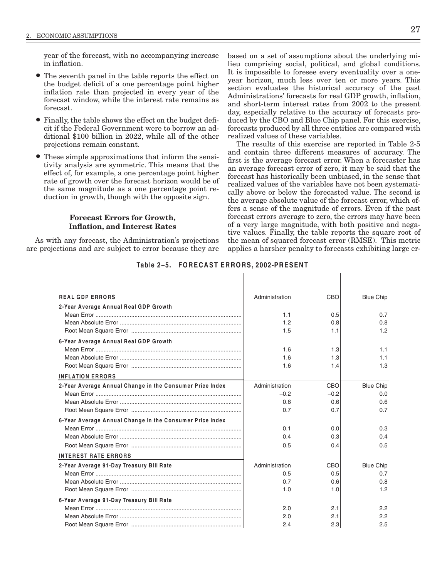year of the forecast, with no accompanying increase in inflation.

- The seventh panel in the table reports the effect on the budget deficit of a one percentage point higher inflation rate than projected in every year of the forecast window, while the interest rate remains as forecast.
- Finally, the table shows the effect on the budget deficit if the Federal Government were to borrow an additional \$100 billion in 2022, while all of the other projections remain constant.
- These simple approximations that inform the sensitivity analysis are symmetric. This means that the effect of, for example, a one percentage point higher rate of growth over the forecast horizon would be of the same magnitude as a one percentage point reduction in growth, though with the opposite sign.

# **Forecast Errors for Growth, Inflation, and Interest Rates**

As with any forecast, the Administration's projections are projections and are subject to error because they are based on a set of assumptions about the underlying milieu comprising social, political, and global conditions. It is impossible to foresee every eventuality over a oneyear horizon, much less over ten or more years. This section evaluates the historical accuracy of the past Administrations' forecasts for real GDP growth, inflation, and short-term interest rates from 2002 to the present day, especially relative to the accuracy of forecasts produced by the CBO and Blue Chip panel. For this exercise, forecasts produced by all three entities are compared with realized values of these variables.

The results of this exercise are reported in Table 2-5 and contain three different measures of accuracy. The first is the average forecast error. When a forecaster has an average forecast error of zero, it may be said that the forecast has historically been unbiased, in the sense that realized values of the variables have not been systematically above or below the forecasted value. The second is the average absolute value of the forecast error, which offers a sense of the magnitude of errors. Even if the past forecast errors average to zero, the errors may have been of a very large magnitude, with both positive and negative values. Finally, the table reports the square root of the mean of squared forecast error (RMSE). This metric applies a harsher penalty to forecasts exhibiting large er-

| <b>REAL GDP ERRORS</b>                                   | Administration | CBO    | <b>Blue Chip</b> |
|----------------------------------------------------------|----------------|--------|------------------|
| 2-Year Average Annual Real GDP Growth                    |                |        |                  |
|                                                          | 1.1            | 0.5    | 0.7              |
|                                                          | 1.2            | 0.8    | 0.8              |
|                                                          | 1.5            | 1.1    | 1.2              |
| 6-Year Average Annual Real GDP Growth                    |                |        |                  |
|                                                          | 1.6            | 1.3    | 1.1              |
|                                                          | 1.6            | 1.3    | 1.1              |
|                                                          | 1.6            | 1.4    | 1.3              |
| <b>INFLATION ERRORS</b>                                  |                |        |                  |
| 2-Year Average Annual Change in the Consumer Price Index | Administration | CBO    | <b>Blue Chip</b> |
|                                                          | $-0.2$         | $-0.2$ | 0.0              |
|                                                          | 0.6            | 0.6    | 0.6              |
|                                                          | 0.7            | 0.7    | 0.7              |
| 6-Year Average Annual Change in the Consumer Price Index |                |        |                  |
|                                                          | 0.1            | 0.0    | 0.3              |
|                                                          | 0.4            | 0.3    | 0.4              |
|                                                          | 0.5            | 0.4    | 0.5              |
| <b>INTEREST RATE ERRORS</b>                              |                |        |                  |
| 2-Year Average 91-Day Treasury Bill Rate                 | Administration | CBO    | <b>Blue Chip</b> |
|                                                          | 0.5            | 0.5    | 0.7              |
|                                                          | 0.7            | 0.6    | 0.8              |
|                                                          | 1.0            | 1.0    | 1.2              |
| 6-Year Average 91-Day Treasury Bill Rate                 |                |        |                  |
|                                                          | 2.0            | 2.1    | 2.2              |
|                                                          | 2.0            | 2.1    | 2.2              |
|                                                          | 2.4            | 2.3    | 2.5              |

Table 2-5. FORECAST ERRORS, 2002-PRESENT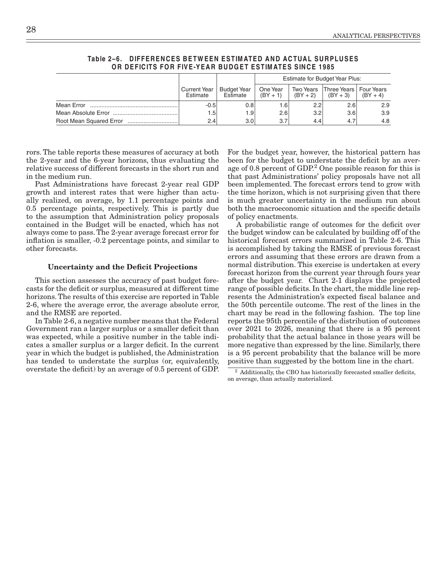|                     |                                 |                                | Estimate for Budget Year Plus: |                                |                                        |            |  |  |  |
|---------------------|---------------------------------|--------------------------------|--------------------------------|--------------------------------|----------------------------------------|------------|--|--|--|
|                     | <b>Current Year</b><br>Estimate | <b>Budget Year</b><br>Estimate | One Year<br>$(BY + 1)$         | <b>Two Years</b><br>$(BY + 2)$ | Three Years   Four Years<br>$(BY + 3)$ | $(BY + 4)$ |  |  |  |
| Mean Error          | -0.5                            | 0.8                            | .6                             | 2.2                            | 2.6                                    | 2.9        |  |  |  |
| Mean Absolute Error | .5                              | 1.91                           | 2.6                            | 3.2                            | 3.6                                    | 3.9        |  |  |  |
|                     | 2.4                             | 3.0 <sub>l</sub>               | 3.7                            | 4.4                            | 4.7                                    | 4.8        |  |  |  |

Table 2-6. DIFFERENCES BETWEEN ESTIMATED AND ACTUAL SURPLUSES OR DEFICITS FOR FIVE-YEAR BUDGET ESTIMATES SINCE 1985

rors. The table reports these measures of accuracy at both the 2-year and the 6-year horizons, thus evaluating the relative success of different forecasts in the short run and in the medium run.

Past Administrations have forecast 2-year real GDP growth and interest rates that were higher than actually realized, on average, by 1.1 percentage points and 0.5 percentage points, respectively. This is partly due to the assumption that Administration policy proposals contained in the Budget will be enacted, which has not always come to pass. The 2-year average forecast error for inflation is smaller,  $-0.2$  percentage points, and similar to other forecasts.

### **Uncertainty and the Deficit Projections**

This section assesses the accuracy of past budget forecasts for the deficit or surplus, measured at different time horizons. The results of this exercise are reported in Table 2-6, where the average error, the average absolute error, and the RMSE are reported.

In Table 2-6, a negative number means that the Federal Government ran a larger surplus or a smaller deficit than was expected, while a positive number in the table indicates a smaller surplus or a larger deficit. In the current year in which the budget is published, the Administration has tended to understate the surplus (or, equivalently, overstate the deficit) by an average of 0.5 percent of GDP.

For the budget year, however, the historical pattern has been for the budget to understate the deficit by an average of 0.8 percent of GDP.<sup>2</sup> One possible reason for this is that past Administrations' policy proposals have not all been implemented. The forecast errors tend to grow with the time horizon, which is not surprising given that there is much greater uncertainty in the medium run about both the macroeconomic situation and the specific details of policy enactments.

A probabilistic range of outcomes for the deficit over the budget window can be calculated by building off of the historical forecast errors summarized in Table 2-6. This is accomplished by taking the RMSE of previous forecast errors and assuming that these errors are drawn from a normal distribution. This exercise is undertaken at every forecast horizon from the current year through fours year after the budget year. Chart 2-1 displays the projected range of possible deficits. In the chart, the middle line represents the Administration's expected fiscal balance and the 50th percentile outcome. The rest of the lines in the chart may be read in the following fashion. The top line reports the 95th percentile of the distribution of outcomes over 2021 to 2026, meaning that there is a 95 percent probability that the actual balance in those years will be more negative than expressed by the line. Similarly, there is a 95 percent probability that the balance will be more positive than suggested by the bottom line in the chart.

 $^2$  Additionally, the CBO has historically forecasted smaller deficits, on average, than actually materialized.